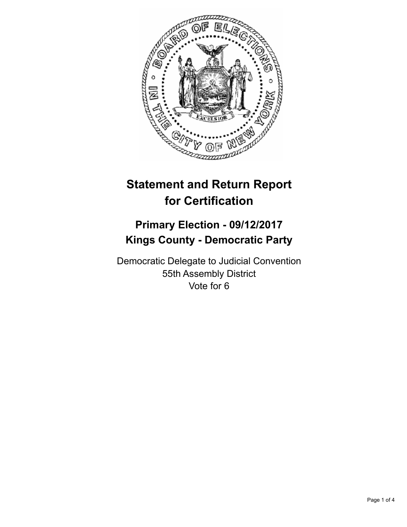

## **Statement and Return Report for Certification**

## **Primary Election - 09/12/2017 Kings County - Democratic Party**

Democratic Delegate to Judicial Convention 55th Assembly District Vote for 6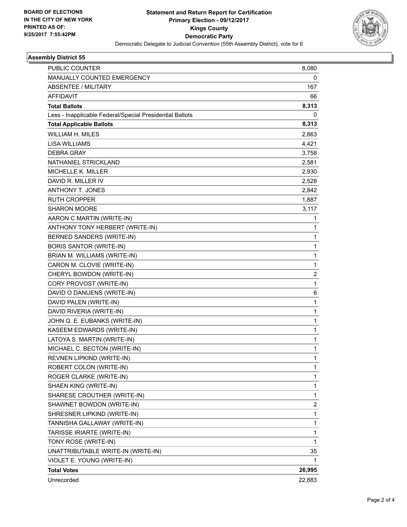

## **Assembly District 55**

| PUBLIC COUNTER                                           | 8,080                   |
|----------------------------------------------------------|-------------------------|
| MANUALLY COUNTED EMERGENCY                               | 0                       |
| <b>ABSENTEE / MILITARY</b>                               | 167                     |
| <b>AFFIDAVIT</b>                                         | 66                      |
| <b>Total Ballots</b>                                     | 8,313                   |
| Less - Inapplicable Federal/Special Presidential Ballots | 0                       |
| <b>Total Applicable Ballots</b>                          | 8,313                   |
| <b>WILLIAM H. MILES</b>                                  | 2,863                   |
| <b>LISA WILLIAMS</b>                                     | 4,421                   |
| <b>DEBRA GRAY</b>                                        | 3,758                   |
| NATHANIEL STRICKLAND                                     | 2,581                   |
| MICHELLE K. MILLER                                       | 2,930                   |
| DAVID R. MILLER IV                                       | 2,528                   |
| <b>ANTHONY T. JONES</b>                                  | 2,842                   |
| <b>RUTH CROPPER</b>                                      | 1,887                   |
| SHARON MOORE                                             | 3,117                   |
| AARON C MARTIN (WRITE-IN)                                | 1                       |
| ANTHONY TONY HERBERT (WRITE-IN)                          | 1                       |
| BERNED SANDERS (WRITE-IN)                                | $\mathbf{1}$            |
| <b>BORIS SANTOR (WRITE-IN)</b>                           | $\mathbf{1}$            |
| BRIAN M. WILLIAMS (WRITE-IN)                             | 1                       |
| CARON M. CLOVIE (WRITE-IN)                               | $\mathbf{1}$            |
| CHERYL BOWDON (WRITE-IN)                                 | $\overline{2}$          |
| CORY PROVOST (WRITE-IN)                                  | $\mathbf{1}$            |
| DAVID O DANUENS (WRITE-IN)                               | 6                       |
| DAVID PALEN (WRITE-IN)                                   | $\mathbf{1}$            |
| DAVID RIVERIA (WRITE-IN)                                 | 1                       |
| JOHN Q. E. EUBANKS (WRITE-IN)                            | $\mathbf{1}$            |
| KASEEM EDWARDS (WRITE-IN)                                | $\mathbf{1}$            |
| LATOYA S. MARTIN (WRITE-IN)                              | 1                       |
| MICHAEL C. BECTON (WRITE-IN)                             | $\mathbf{1}$            |
| REVNEN LIPKIND (WRITE-IN)                                | $\mathbf{1}$            |
| ROBERT COLON (WRITE-IN)                                  | 1                       |
| ROGER CLARKE (WRITE-IN)                                  | $\mathbf{1}$            |
| SHAEN KING (WRITE-IN)                                    | $\mathbf{1}$            |
| SHARESE CROUTHER (WRITE-IN)                              | 1                       |
| SHAWNET BOWDON (WRITE-IN)                                | $\overline{\mathbf{c}}$ |
| SHRESNER LIPKIND (WRITE-IN)                              | $\mathbf{1}$            |
| TANNISHA GALLAWAY (WRITE-IN)                             | 1                       |
| TARISSE IRIARTE (WRITE-IN)                               | $\mathbf{1}$            |
| TONY ROSE (WRITE-IN)                                     | $\mathbf{1}$            |
| UNATTRIBUTABLE WRITE-IN (WRITE-IN)                       | 35                      |
| VIOLET E. YOUNG (WRITE-IN)                               | $\mathbf 1$             |
| <b>Total Votes</b>                                       | 26,995                  |
| Unrecorded                                               | 22,883                  |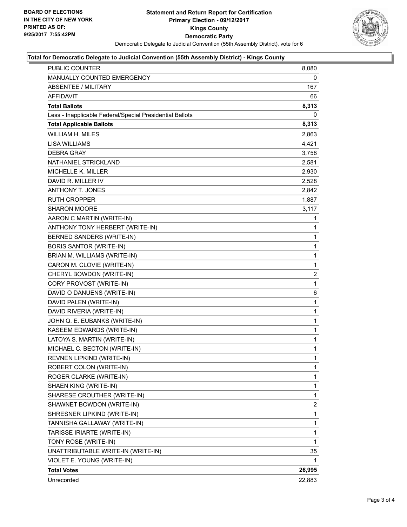

## **Total for Democratic Delegate to Judicial Convention (55th Assembly District) - Kings County**

| PUBLIC COUNTER                                           | 8,080          |
|----------------------------------------------------------|----------------|
| MANUALLY COUNTED EMERGENCY                               | 0              |
| <b>ABSENTEE / MILITARY</b>                               | 167            |
| <b>AFFIDAVIT</b>                                         | 66             |
| <b>Total Ballots</b>                                     | 8,313          |
| Less - Inapplicable Federal/Special Presidential Ballots | 0              |
| <b>Total Applicable Ballots</b>                          | 8,313          |
| <b>WILLIAM H. MILES</b>                                  | 2,863          |
| <b>LISA WILLIAMS</b>                                     | 4,421          |
| <b>DEBRA GRAY</b>                                        | 3,758          |
| NATHANIEL STRICKLAND                                     | 2,581          |
| MICHELLE K. MILLER                                       | 2,930          |
| DAVID R. MILLER IV                                       | 2,528          |
| <b>ANTHONY T. JONES</b>                                  | 2,842          |
| <b>RUTH CROPPER</b>                                      | 1,887          |
| SHARON MOORE                                             | 3,117          |
| AARON C MARTIN (WRITE-IN)                                | 1              |
| ANTHONY TONY HERBERT (WRITE-IN)                          | 1              |
| BERNED SANDERS (WRITE-IN)                                | 1              |
| <b>BORIS SANTOR (WRITE-IN)</b>                           | 1              |
| BRIAN M. WILLIAMS (WRITE-IN)                             | 1              |
| CARON M. CLOVIE (WRITE-IN)                               | 1              |
| CHERYL BOWDON (WRITE-IN)                                 | $\overline{2}$ |
| CORY PROVOST (WRITE-IN)                                  | 1              |
| DAVID O DANUENS (WRITE-IN)                               | 6              |
| DAVID PALEN (WRITE-IN)                                   | 1              |
| DAVID RIVERIA (WRITE-IN)                                 | 1              |
| JOHN Q. E. EUBANKS (WRITE-IN)                            | 1              |
| KASEEM EDWARDS (WRITE-IN)                                | 1              |
| LATOYA S. MARTIN (WRITE-IN)                              | 1              |
| MICHAEL C. BECTON (WRITE-IN)                             | $\mathbf{1}$   |
| REVNEN LIPKIND (WRITE-IN)                                | 1              |
| ROBERT COLON (WRITE-IN)                                  | 1              |
| ROGER CLARKE (WRITE-IN)                                  | 1              |
| SHAEN KING (WRITE-IN)                                    | 1              |
| SHARESE CROUTHER (WRITE-IN)                              | 1              |
| SHAWNET BOWDON (WRITE-IN)                                | 2              |
| SHRESNER LIPKIND (WRITE-IN)                              | 1              |
| TANNISHA GALLAWAY (WRITE-IN)                             | 1              |
| TARISSE IRIARTE (WRITE-IN)                               | 1              |
| TONY ROSE (WRITE-IN)                                     | 1              |
| UNATTRIBUTABLE WRITE-IN (WRITE-IN)                       | 35             |
| VIOLET E. YOUNG (WRITE-IN)                               | 1              |
| <b>Total Votes</b>                                       | 26,995         |
| Unrecorded                                               | 22,883         |
|                                                          |                |